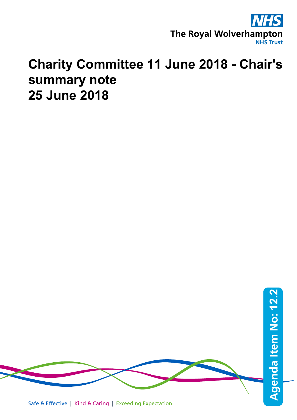

## **Charity Committee 11 June 2018 - Chair's summary note 25 June 2018**

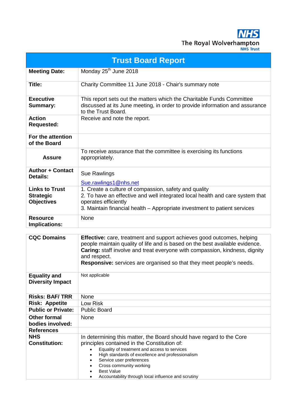**NHS** The Royal Wolverhampton

| <b>Trust Board Report</b>                                      |                                                                                                                                                                                                                                                                                                                                                                                            |  |  |  |  |  |
|----------------------------------------------------------------|--------------------------------------------------------------------------------------------------------------------------------------------------------------------------------------------------------------------------------------------------------------------------------------------------------------------------------------------------------------------------------------------|--|--|--|--|--|
| <b>Meeting Date:</b>                                           | Monday 25 <sup>th</sup> June 2018                                                                                                                                                                                                                                                                                                                                                          |  |  |  |  |  |
| Title:                                                         | Charity Committee 11 June 2018 - Chair's summary note                                                                                                                                                                                                                                                                                                                                      |  |  |  |  |  |
| <b>Executive</b><br><b>Summary:</b>                            | This report sets out the matters which the Charitable Funds Committee<br>discussed at its June meeting, in order to provide information and assurance<br>to the Trust Board.                                                                                                                                                                                                               |  |  |  |  |  |
| <b>Action</b><br><b>Requested:</b>                             | Receive and note the report.                                                                                                                                                                                                                                                                                                                                                               |  |  |  |  |  |
| For the attention<br>of the Board                              |                                                                                                                                                                                                                                                                                                                                                                                            |  |  |  |  |  |
| <b>Assure</b>                                                  | To receive assurance that the committee is exercising its functions<br>appropriately.                                                                                                                                                                                                                                                                                                      |  |  |  |  |  |
| <b>Author + Contact</b><br><b>Details:</b>                     | Sue Rawlings<br>Sue.rawlings1@nhs.net                                                                                                                                                                                                                                                                                                                                                      |  |  |  |  |  |
| <b>Links to Trust</b><br><b>Strategic</b><br><b>Objectives</b> | 1. Create a culture of compassion, safety and quality<br>2. To have an effective and well integrated local health and care system that<br>operates efficiently<br>3. Maintain financial health - Appropriate investment to patient services                                                                                                                                                |  |  |  |  |  |
| <b>Resource</b><br>Implications:                               | None                                                                                                                                                                                                                                                                                                                                                                                       |  |  |  |  |  |
| <b>CQC Domains</b>                                             | <b>Effective:</b> care, treatment and support achieves good outcomes, helping<br>people maintain quality of life and is based on the best available evidence.<br>Caring: staff involve and treat everyone with compassion, kindness, dignity<br>and respect.<br>Responsive: services are organised so that they meet people's needs.                                                       |  |  |  |  |  |
| <b>Equality and</b><br><b>Diversity Impact</b>                 | Not applicable                                                                                                                                                                                                                                                                                                                                                                             |  |  |  |  |  |
| <b>Risks: BAF/TRR</b>                                          | None                                                                                                                                                                                                                                                                                                                                                                                       |  |  |  |  |  |
| <b>Risk: Appetite</b>                                          | Low Risk                                                                                                                                                                                                                                                                                                                                                                                   |  |  |  |  |  |
| <b>Public or Private:</b>                                      | <b>Public Board</b>                                                                                                                                                                                                                                                                                                                                                                        |  |  |  |  |  |
| <b>Other formal</b><br>bodies involved:                        | None                                                                                                                                                                                                                                                                                                                                                                                       |  |  |  |  |  |
| <b>References</b>                                              |                                                                                                                                                                                                                                                                                                                                                                                            |  |  |  |  |  |
| <b>NHS</b><br><b>Constitution:</b>                             | In determining this matter, the Board should have regard to the Core<br>principles contained in the Constitution of:<br>Equality of treatment and access to services<br>High standards of excellence and professionalism<br>$\bullet$<br>Service user preferences<br>$\bullet$<br>Cross community working<br>٠<br><b>Best Value</b><br>Accountability through local influence and scrutiny |  |  |  |  |  |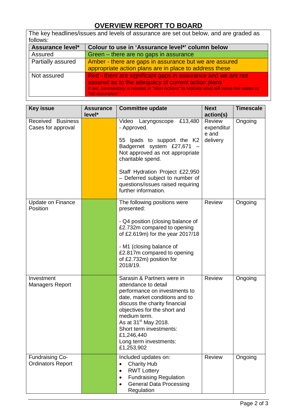## **OVERVIEW REPORT TO BOARD**

| The key headlines/issues and levels of assurance are set out below, and are graded as |                                                                                                             |  |  |  |  |  |
|---------------------------------------------------------------------------------------|-------------------------------------------------------------------------------------------------------------|--|--|--|--|--|
| follows:                                                                              |                                                                                                             |  |  |  |  |  |
| Assurance level*                                                                      | Colour to use in 'Assurance level*' column below                                                            |  |  |  |  |  |
| Assured                                                                               | Green – there are no gaps in assurance                                                                      |  |  |  |  |  |
| Partially assured                                                                     | Amber - there are gaps in assurance but we are assured                                                      |  |  |  |  |  |
|                                                                                       | appropriate action plans are in place to address these                                                      |  |  |  |  |  |
| Not assured                                                                           | Red - there are significant gaps in assurance and we are not                                                |  |  |  |  |  |
|                                                                                       | assured as to the adequacy of current action plans                                                          |  |  |  |  |  |
|                                                                                       | If red, commentary is needed in "Next Actions" to indicate what will move the matter to<br>"full assurance" |  |  |  |  |  |

| <b>Key issue</b>                                   | <b>Assurance</b><br>level* | <b>Committee update</b>                                                                                                                                                                                                                                                                                                     | <b>Next</b><br>action(s)                         | <b>Timescale</b> |
|----------------------------------------------------|----------------------------|-----------------------------------------------------------------------------------------------------------------------------------------------------------------------------------------------------------------------------------------------------------------------------------------------------------------------------|--------------------------------------------------|------------------|
| Received Business<br>Cases for approval            |                            | £13,480<br>Video Laryngoscope<br>- Approved.<br>55 Ipads to support the K2<br>Badgernet system £27,671<br>Not approved as not appropriate<br>charitable spend.<br>Staff Hydration Project £22,950<br>- Deferred subject to number of<br>questions/issues raised requiring<br>further information.                           | <b>Review</b><br>expenditur<br>e and<br>delivery | Ongoing          |
| <b>Update on Finance</b><br>Position               |                            | The following positions were<br>presented:<br>- Q4 position (closing balance of<br>£2.732m compared to opening<br>of £2.619m) for the year 2017/18<br>- M1 (closing balance of<br>£2.817m compared to opening<br>of £2.732m) position for<br>2018/19.                                                                       | Review                                           | Ongoing          |
| Investment<br><b>Managers Report</b>               |                            | Sarasin & Partners were in<br>attendance to detail<br>performance on investments to<br>date, market conditions and to<br>discuss the charity financial<br>objectives for the short and<br>medium term.<br>As at 31 <sup>st</sup> May 2018.<br>Short term investments:<br>£1,246,440<br>Long term investments:<br>£1,253,902 | Review                                           | Ongoing          |
| <b>Fundraising Co-</b><br><b>Ordinators Report</b> |                            | Included updates on:<br><b>Charity Hub</b><br>$\bullet$<br><b>RWT Lottery</b><br>$\bullet$<br><b>Fundraising Regulation</b><br>٠<br><b>General Data Processing</b><br>$\bullet$<br>Regulation                                                                                                                               | <b>Review</b>                                    | Ongoing          |